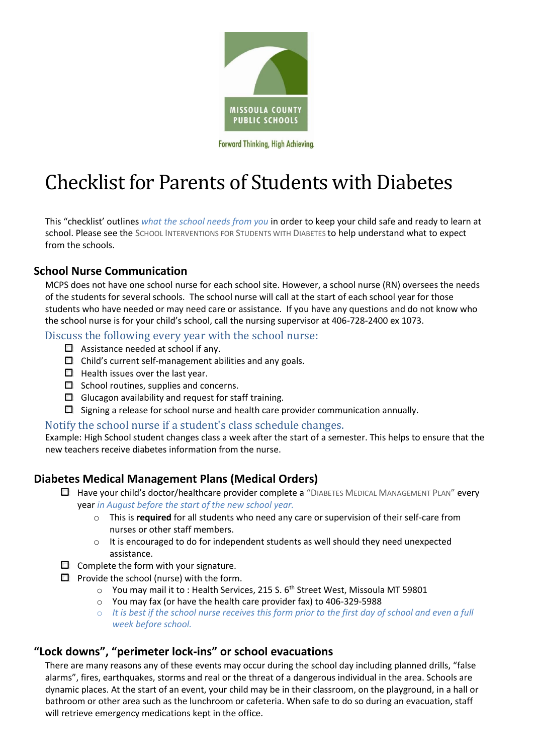

**Forward Thinking, High Achieving.** 

# Checklist for Parents of Students with Diabetes

This "checklist' outlines *what the school needs from you* in order to keep your child safe and ready to learn at school. Please see the SCHOOL INTERVENTIONS FOR STUDENTS WITH DIABETES to help understand what to expect from the schools.

## **School Nurse Communication**

MCPS does not have one school nurse for each school site. However, a school nurse (RN) oversees the needs of the students for several schools. The school nurse will call at the start of each school year for those students who have needed or may need care or assistance. If you have any questions and do not know who the school nurse is for your child's school, call the nursing supervisor at 406-728-2400 ex 1073.

## Discuss the following every year with the school nurse:

- Assistance needed at school if any.
- $\Box$  Child's current self-management abilities and any goals.
- $\Box$  Health issues over the last year.
- $\Box$  School routines, supplies and concerns.
- $\Box$  Glucagon availability and request for staff training.
- $\Box$  Signing a release for school nurse and health care provider communication annually.

#### Notify the school nurse if a student's class schedule changes.

Example: High School student changes class a week after the start of a semester. This helps to ensure that the new teachers receive diabetes information from the nurse.

# **Diabetes Medical Management Plans (Medical Orders)**

- Have your child's doctor/healthcare provider complete a "DIABETES MEDICAL MANAGEMENT PLAN" every year *in August before the start of the new school year.*
	- o This is **required** for all students who need any care or supervision of their self-care from nurses or other staff members.
	- o It is encouraged to do for independent students as well should they need unexpected assistance.
- $\Box$  Complete the form with your signature.
- $\Box$  Provide the school (nurse) with the form.
	- o You may mail it to : Health Services, 215 S. 6<sup>th</sup> Street West, Missoula MT 59801
	- o You may fax (or have the health care provider fax) to 406-329-5988
	- o *It is best if the school nurse receives this form prior to the first day of school and even a full week before school.*

# **"Lock downs", "perimeter lock-ins" or school evacuations**

There are many reasons any of these events may occur during the school day including planned drills, "false alarms", fires, earthquakes, storms and real or the threat of a dangerous individual in the area. Schools are dynamic places. At the start of an event, your child may be in their classroom, on the playground, in a hall or bathroom or other area such as the lunchroom or cafeteria. When safe to do so during an evacuation, staff will retrieve emergency medications kept in the office.